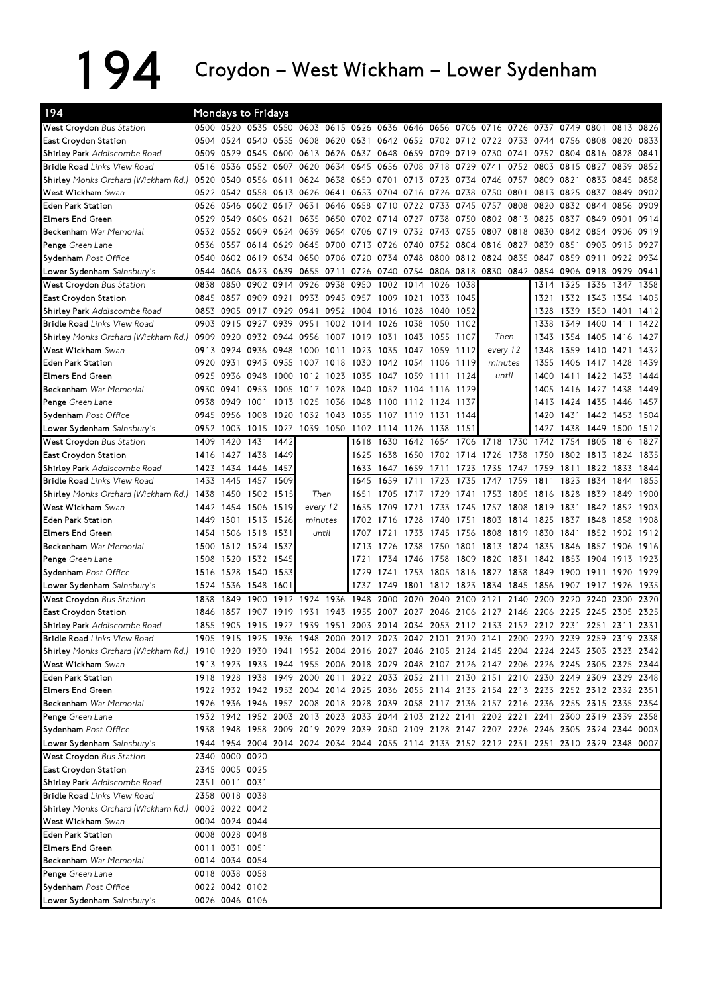## 194 Croydon – West Wickham – Lower Sydenham

| 194                                                                                                                           |      |                | Mondays to Fridays                                                              |           |                |      |                                    |                |                                         |           |                |          |           |                     |                |                                                                                           |           |      |
|-------------------------------------------------------------------------------------------------------------------------------|------|----------------|---------------------------------------------------------------------------------|-----------|----------------|------|------------------------------------|----------------|-----------------------------------------|-----------|----------------|----------|-----------|---------------------|----------------|-------------------------------------------------------------------------------------------|-----------|------|
| West Croydon Bus Station                                                                                                      |      |                | 0500 0520 0535 0550 0603 0615 0626 0636 0646 0656 0706 0716 0726 0737 0749 0801 |           |                |      |                                    |                |                                         |           |                |          |           |                     |                |                                                                                           | 0813 0826 |      |
| East Croydon Station                                                                                                          | 0504 |                | 0524 0540 0555 0608                                                             |           |                |      | 0620 0631 0642 0652 0702 0712 0722 |                |                                         |           |                |          |           | 0733 0744 0756 0808 |                |                                                                                           | 0820      | 0833 |
| Shirley Park Addiscombe Road                                                                                                  | 0509 | 0529           | 0545 0600                                                                       |           | 0613 0626 0637 |      |                                    | 0648 0659      |                                         | 0709      | 0719 0730      |          | 0741      |                     | 0752 0804 0816 |                                                                                           | 0828      | 0841 |
| <b>Bridle Road</b> Links View Road                                                                                            | 0516 | 0536           |                                                                                 | 0552 0607 |                |      | 0620 0634 0645 0656 0708           |                |                                         | 0718      | 0729           | 0741     |           | 0752 0803           | 0815 0827      |                                                                                           | 0839      | 0852 |
| <b>Shirley</b> Monks Orchard (Wickham Rd.)                                                                                    | 0520 | 0540           | 0556 0611 0624 0638 0650 0701 0713 0723                                         |           |                |      |                                    |                |                                         |           | 0734 0746      |          |           | 0757 0809           | 0821           | 0833                                                                                      | 0845      | 0858 |
| West Wickham Swan                                                                                                             | 0522 | 0542 0558      |                                                                                 | 0613 0626 |                | 0641 |                                    | 0653 0704 0716 |                                         | 0726      | 0738           | 0750     | 0801      | 0813                | 0825 0837      |                                                                                           | 0849      | 0902 |
| <b>Eden Park Station</b>                                                                                                      | 0526 | 0546           | 0602 0617                                                                       |           | 0631           | 0646 | 0658                               | 0710           | 0722 0733                               |           | 0745 0757      |          | 0808      | 0820                | 0832 0844      |                                                                                           | 0856      | 0909 |
| <b>Elmers End Green</b>                                                                                                       | 0529 |                | 0549 0606 0621                                                                  |           | 0635           |      | 0650 0702 0714 0727                |                |                                         |           | 0738 0750 0802 |          | 0813 0825 |                     | 0837 0849      |                                                                                           | 0901      | 0914 |
| Beckenham War Memorial                                                                                                        |      |                | 0532 0552 0609 0624 0639                                                        |           |                | 0654 |                                    | 0706 0719 0732 |                                         | 0743      | 0755 0807      |          | 0818      | 0830                | 0842 0854      |                                                                                           | 0906      | 0919 |
| Penge Green Lane                                                                                                              | 0536 | 0557           |                                                                                 | 0614 0629 | 0645           | 0700 | 0713 0726                          |                | 0740                                    |           | 0752 0804      | 0816     | 0827      | 0839                | 0851           | 0903                                                                                      | 0915      | 0927 |
| Sydenham Post Office                                                                                                          | 0540 |                | 0602 0619 0634 0650                                                             |           |                |      | 0706 0720 0734 0748                |                |                                         |           | 0800 0812 0824 |          | 0835      | 0847                | 0859 0911      |                                                                                           | 0922      | 0934 |
| Lower Sydenham Sainsbury's                                                                                                    | 0544 |                | 0606 0623 0639 0655                                                             |           |                | 0711 |                                    |                | 0726 0740 0754 0806 0818 0830 0842 0854 |           |                |          |           |                     | 0906 0918      |                                                                                           | 0929 0941 |      |
| West Croydon Bus Station                                                                                                      | 0838 | 0850           | 0902                                                                            | 0914      | 0926           | 0938 | 0950                               | 1002           | 1014                                    | 1026      | 1038           |          |           | 1314                | 1325           | 1336                                                                                      | 1347      | 1358 |
| <b>East Croydon Station</b>                                                                                                   | 0845 |                | 0857 0909 0921                                                                  |           |                |      | 0933 0945 0957 1009 1021           |                |                                         | 1033 1045 |                |          |           | 1321                |                | 1332 1343 1354                                                                            |           | 1405 |
| Shirley Park Addiscombe Road                                                                                                  | 0853 | 0905           | 0917 0929                                                                       |           | 0941           |      | 0952 1004 1016                     |                | 1028                                    | 1040 1052 |                |          |           | 1328                |                | 1339 1350                                                                                 | 1401      | 1412 |
| <b>Bridle Road</b> Links View Road                                                                                            | 0903 | 0915           | 0927                                                                            | 0939      | 0951           | 1002 | 1014                               | 1026           | 1038                                    | 1050      | 1102           |          |           | 1338                | 1349           | 1400                                                                                      | 1411      | 1422 |
| Shirley Monks Orchard (Wickham Rd.) 0909 0920 0932 0944 0956                                                                  |      |                |                                                                                 |           |                |      | 1007 1019 1031                     |                | 1043                                    | 1055      | 1107           | Then     |           | 1343                | 1354           | 1405                                                                                      | 1416      | 1427 |
| West Wickham Swan                                                                                                             | 0913 | 0924           | 0936                                                                            | 0948      | 1000           | 1011 | 1023                               | 1035           | 1047                                    | 1059      | 1112           | every 12 |           | 1348                | 1359           | 1410                                                                                      | 1421      | 1432 |
| <b>Eden Park Station</b>                                                                                                      | 0920 | 0931           | 0943                                                                            | 0955      | 1007           | 1018 | 1030                               | 1042           | 1054                                    | 1106      | 1119           | minutes  |           | 1355                | 1406           | 1417 1428                                                                                 |           | 1439 |
| <b>Elmers End Green</b>                                                                                                       | 0925 | 0936 0948      |                                                                                 | 1000      |                |      | 1012 1023 1035 1047 1059           |                |                                         | 1111 1124 |                | until    |           | 1400                |                | 1411 1422 1433                                                                            |           | 1444 |
| Beckenham War Memorial                                                                                                        | 0930 | 0941           |                                                                                 | 0953 1005 | 1017           | 1028 | 1040                               |                | 1052 1104 1116 1129                     |           |                |          |           | 1405                |                | 1416 1427                                                                                 | 1438      | 1449 |
| Penge Green Lane                                                                                                              | 0938 | 0949           | 1001                                                                            | 1013      | 1025           | 1036 | 1048                               | 1100           | 1112                                    | 1124 1137 |                |          |           | 1413                | 1424 1435      |                                                                                           | 1446      | 1457 |
| Sydenham Post Office                                                                                                          | 0945 | 0956           | 1008                                                                            | 1020      | 1032           | 1043 | 1055 1107 1119                     |                |                                         | 1131      | 1144           |          |           | 1420                | 1431           | 1442                                                                                      | 1453      | 1504 |
| Lower Sydenham Sainsbury's                                                                                                    | 0952 | 1003           | 1015 1027                                                                       |           |                |      | 1039 1050 1102 1114 1126           |                |                                         | 1138      | 1151           |          |           | 1427                | 1438           | 1449                                                                                      | 1500      | 1512 |
| West Croydon Bus Station                                                                                                      | 1409 | 1420           | 1431                                                                            | 1442      |                |      | 1618                               | 1630           | 1642                                    | 1654      | 1706 1718      |          | 1730      | 1742                | 1754           | 1805                                                                                      | 1816      | 1827 |
| <b>East Croydon Station</b>                                                                                                   | 1416 | 1427 1438      |                                                                                 | 1449      |                |      | 1625                               | 1638           | 1650                                    |           | 1702 1714      | 1726     | 1738      | 1750                | 1802 1813      |                                                                                           | 1824      | 1835 |
| Shirley Park Addiscombe Road                                                                                                  |      |                | 1423 1434 1446 1457                                                             |           |                |      | 1633                               | 1647           | 1659                                    | 1711      | 1723           | 1735     | 1747      | 1759                | 1811           | 1822                                                                                      | 1833      | 1844 |
| <b>Bridle Road</b> Links View Road                                                                                            | 1433 | 1445           | 1457 1509                                                                       |           |                |      | 1645                               | 1659           | 1711                                    | 1723      | 1735           | 1747     | 1759      | 1811                | 1823           | 1834                                                                                      | 1844      | 1855 |
| Shirley Monks Orchard (Wickham Rd.)                                                                                           | 1438 | 1450           | 1502 1515                                                                       |           | Then           |      | 1651                               | 1705           |                                         | 1729      | 1741           | 1753     | 1805      | 1816                | 1828           | 1839                                                                                      | 1849      | 1900 |
| West Wickham Swan                                                                                                             |      | 1442 1454      | 1506 1519                                                                       |           | every 12       |      | 1655                               | 1709           | 1721                                    | 1733      | 1745           | 1757     | 1808      | 1819                | 1831           | 1842                                                                                      | 1852      | 1903 |
| <b>Eden Park Station</b>                                                                                                      | 1449 | 1501           | 1513 1526                                                                       |           | minutes        |      | 1702                               | 1716           | 1728                                    | 1740      | 1751           | 1803     | 1814      | 1825                | 1837           | 1848                                                                                      | 1858      | 1908 |
| <b>Elmers End Green</b>                                                                                                       | 1454 |                | 1506 1518 1531                                                                  |           | until          |      | 1707                               | 1721           | 1733                                    | 1745      | 1756           | 1808     | 1819      | 1830                | 1841           | 1852                                                                                      | 1902      | 1912 |
| Beckenham War Memorial                                                                                                        | 1500 |                | 1512 1524 1537                                                                  |           |                |      | 1713                               | 1726           | 1738                                    | 1750      | 1801           | 1813     | 1824      | 1835                | 1846           | 1857                                                                                      | 1906      | 1916 |
| Penge Green Lane                                                                                                              | 1508 | 1520           | 1532 1545                                                                       |           |                |      | 1721                               | 1734           | 1746                                    | 1758      | 1809           | 1820     | 1831      | 1842                | 1853           | 1904                                                                                      | 1913      | 1923 |
| Sydenham Post Office                                                                                                          | 1516 | 1528           | 1540 1553                                                                       |           |                |      | 1729                               | 1741           | 1753                                    | 1805      | 1816           | 1827     | 1838      | 1849                | 1900 1911      |                                                                                           | 1920      | 1929 |
| Lower Sydenham Sainsbury's                                                                                                    | 1524 | 1536           | 1548 160                                                                        |           |                |      | 1737                               | 1749           | 1801                                    | 1812      | 1823           | 1834     | 1845      | 1856                | 1907 1917      |                                                                                           | 1926      | 1935 |
| West Croydon Bus Station                                                                                                      | 1838 | 1849           | 1900                                                                            | 1912      | 1924           | 1936 | 1948                               | 2000           | 2020                                    | 2040      | 2100           | 2121     | 2140      | 2200                | 2220           | 2240                                                                                      | 2300      | 2320 |
| <b>East Croydon Station</b>                                                                                                   | 1846 | 1857           | 1907                                                                            | 19<br>19  | 31             | 1943 | 1955                               | 2007           | 2027                                    | 2046      | 2106           | 2127     | 2146      | 2206                | 2225 2245      |                                                                                           | 2305      | 2325 |
| Shirley Park Addiscombe Road                                                                                                  | 1855 | 1905           | 1915 1927 1939                                                                  |           |                |      |                                    |                |                                         |           |                |          |           |                     |                | 1951 2003 2014 2034 2053 2112 2133 2152 2212 2231 2251 2311                               |           | 2331 |
| Bridle Road Links View Road                                                                                                   |      |                |                                                                                 |           |                |      |                                    |                |                                         |           |                |          |           |                     |                | 1905 1915 1925 1936 1948 2000 2012 2023 2042 2101 2120 2141 2200 2220 2239 2259 2319 2338 |           |      |
| Shirley Monks Orchard (Wickham Rd.) 1910 1920 1930 1941 1952 2004 2016 2027 2046 2105 2124 2145 2204 2224 2243 2303 2323 2342 |      |                |                                                                                 |           |                |      |                                    |                |                                         |           |                |          |           |                     |                |                                                                                           |           |      |
| West Wickham Swan                                                                                                             |      |                |                                                                                 |           |                |      |                                    |                |                                         |           |                |          |           |                     |                | 1913 1923 1933 1944 1955 2006 2018 2029 2048 2107 2126 2147 2206 2226 2245 2305 2325 2344 |           |      |
| <b>Eden Park Station</b>                                                                                                      |      |                |                                                                                 |           |                |      |                                    |                |                                         |           |                |          |           |                     |                | 1918 1928 1938 1949 2000 2011 2022 2033 2052 2111 2130 2151 2210 2230 2249 2309 2329 2348 |           |      |
| <b>Elmers End Green</b>                                                                                                       |      |                |                                                                                 |           |                |      |                                    |                |                                         |           |                |          |           |                     |                | 1922 1932 1942 1953 2004 2014 2025 2036 2055 2114 2133 2154 2213 2233 2252 2312 2332 2351 |           |      |
| Beckenham War Memorial                                                                                                        |      |                |                                                                                 |           |                |      |                                    |                |                                         |           |                |          |           |                     |                | 1926 1936 1946 1957 2008 2018 2028 2039 2058 2117 2136 2157 2216 2236 2255 2315 2335 2354 |           |      |
| Penge Green Lane                                                                                                              |      |                |                                                                                 |           |                |      |                                    |                |                                         |           |                |          |           |                     |                | 1932 1942 1952 2003 2013 2023 2033 2044 2103 2122 2141 2202 2221 2241 2300 2319 2339 2358 |           |      |
| Sydenham Post Office                                                                                                          |      |                |                                                                                 |           |                |      |                                    |                |                                         |           |                |          |           |                     |                | 1938 1948 1958 2009 2019 2029 2039 2050 2109 2128 2147 2207 2226 2246 2305 2324 2344 0003 |           |      |
| Lower Sydenham Sainsbury's                                                                                                    |      |                |                                                                                 |           |                |      |                                    |                |                                         |           |                |          |           |                     |                | 1944 1954 2004 2014 2024 2034 2044 2055 2114 2133 2152 2212 2231 2251 2310 2329 2348 0007 |           |      |
| West Croydon Bus Station                                                                                                      |      | 2340 0000 0020 |                                                                                 |           |                |      |                                    |                |                                         |           |                |          |           |                     |                |                                                                                           |           |      |
| East Croydon Station                                                                                                          |      | 2345 0005 0025 |                                                                                 |           |                |      |                                    |                |                                         |           |                |          |           |                     |                |                                                                                           |           |      |
| Shirley Park Addiscombe Road                                                                                                  |      | 2351 0011 0031 |                                                                                 |           |                |      |                                    |                |                                         |           |                |          |           |                     |                |                                                                                           |           |      |
| Bridle Road Links View Road                                                                                                   |      | 2358 0018 0038 |                                                                                 |           |                |      |                                    |                |                                         |           |                |          |           |                     |                |                                                                                           |           |      |
| Shirley Monks Orchard (Wickham Rd.)                                                                                           |      | 0002 0022 0042 |                                                                                 |           |                |      |                                    |                |                                         |           |                |          |           |                     |                |                                                                                           |           |      |
| West Wickham Swan                                                                                                             |      | 0004 0024 0044 |                                                                                 |           |                |      |                                    |                |                                         |           |                |          |           |                     |                |                                                                                           |           |      |
| <b>Eden Park Station</b>                                                                                                      |      | 0008 0028 0048 |                                                                                 |           |                |      |                                    |                |                                         |           |                |          |           |                     |                |                                                                                           |           |      |
| <b>Elmers End Green</b>                                                                                                       |      | 0011 0031 0051 |                                                                                 |           |                |      |                                    |                |                                         |           |                |          |           |                     |                |                                                                                           |           |      |
| Beckenham War Memorial                                                                                                        |      | 0014 0034 0054 |                                                                                 |           |                |      |                                    |                |                                         |           |                |          |           |                     |                |                                                                                           |           |      |
| Penge Green Lane                                                                                                              |      | 0018 0038 0058 |                                                                                 |           |                |      |                                    |                |                                         |           |                |          |           |                     |                |                                                                                           |           |      |
| Sydenham Post Office                                                                                                          |      | 0022 0042 0102 |                                                                                 |           |                |      |                                    |                |                                         |           |                |          |           |                     |                |                                                                                           |           |      |
|                                                                                                                               |      |                | 0026 0046 0106                                                                  |           |                |      |                                    |                |                                         |           |                |          |           |                     |                |                                                                                           |           |      |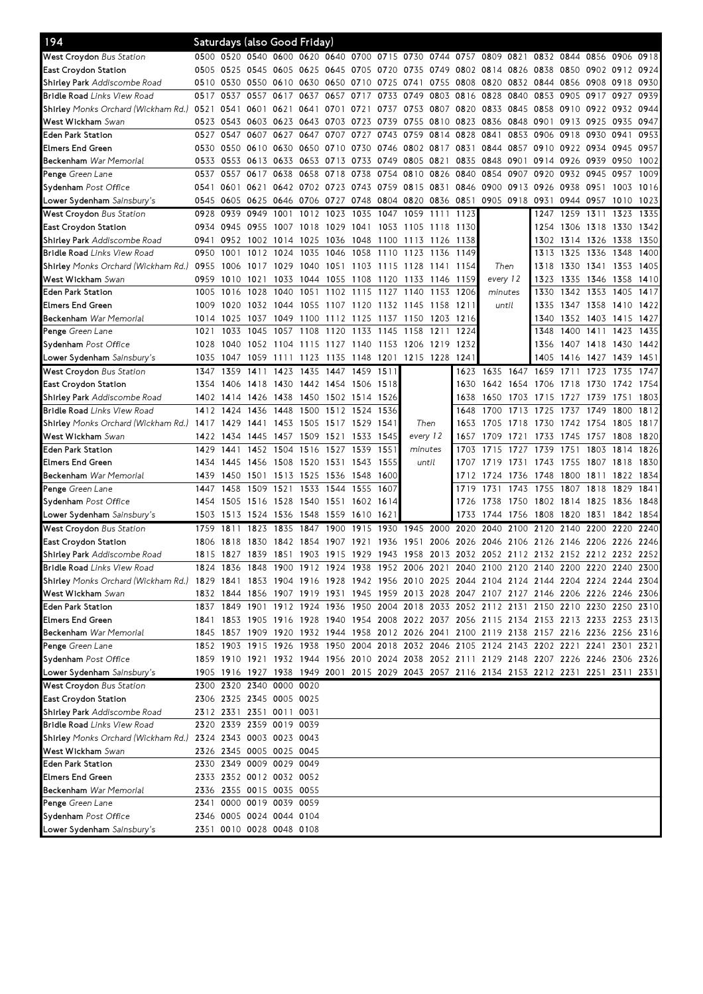| 194                                                          |           |                | Saturdays (also Good Friday)  |                |                     |           |                          |           |                                                                                           |           |                     |           |                |                                    |                |      |           |      |
|--------------------------------------------------------------|-----------|----------------|-------------------------------|----------------|---------------------|-----------|--------------------------|-----------|-------------------------------------------------------------------------------------------|-----------|---------------------|-----------|----------------|------------------------------------|----------------|------|-----------|------|
| West Croydon Bus Station                                     |           |                |                               |                |                     |           |                          |           | 0500 0520 0540 0600 0620 0640 0700 0715 0730 0744 0757                                    |           |                     |           |                | 0809 0821 0832 0844 0856           |                |      | 0906 0918 |      |
| East Croydon Station                                         |           | 0505 0525      | 0545 0605 0625 0645           |                |                     |           | 0705                     | 0720 0735 |                                                                                           |           | 0749 0802 0814 0826 |           |                | 0838                               | 0850 0902 0912 |      |           | 0924 |
| Shirley Park Addiscombe Road                                 |           |                | 0510 0530 0550 0610 0630 0650 |                |                     |           | 0710 0725 0741           |           |                                                                                           |           |                     |           |                | 0755 0808 0820 0832 0844 0856 0908 |                |      | 0918      | 0930 |
| <b>Bridle Road</b> Links View Road                           |           | 0517 0537      | 0557 0617                     |                | 0637                | 0657      | 0717                     |           | 0733 0749                                                                                 | 0803 0816 |                     | 0828      | 0840           | 0853                               | 0905 0917      |      | 0927      | 0939 |
| S <b>hirley</b> Monks Orchard (Wickham Rd.)                  | 0521      | 0541           | 0601                          | 0621           | 0641                | 0701      | 0721                     |           | 0737 0753                                                                                 | 0807 0820 |                     | 0833 0845 |                | 0858                               | 0910 0922      |      | 0932      | 0944 |
| <b>West Wickham</b> Swan                                     |           | 0523 0543      | 0603 0623 0643 0703           |                |                     |           | 0723                     |           | 0739 0755 0810 0823 0836 0848                                                             |           |                     |           |                | 0901                               | 0913 0925      |      | 0935      | 0947 |
| Eden Park Station                                            | 0527      | 0547           | 0607                          | 0627           | 0647                | 0707      | 0727                     | 0743 0759 |                                                                                           | 0814      | 0828                | 0841      | 0853           | 0906                               | 0918 0930      |      | 0941      | 0953 |
| Elmers End Green                                             |           |                | 0530 0550 0610 0630           |                | 0650 0710           |           | 0730                     |           | 0746 0802 0817 0831                                                                       |           |                     | 0844      | 0857 0910      |                                    | 0922 0934      |      | 0945      | 0957 |
| Beckenham War Memorial                                       |           | 0533 0553      | 0613 0633 0653 0713           |                |                     |           |                          |           | 0733 0749 0805 0821                                                                       |           | 0835                | 0848 0901 |                | 0914 0926 0939                     |                |      | 0950      | 1002 |
| Penge Green Lane                                             | 0537      | 0557           | 0617                          | 0638           | 0658                | 0718      | 0738                     | 0754      | 0810                                                                                      | 0826      | 0840                | 0854      | 0907           | 0920                               | 0932 0945      |      | 0957      | 1009 |
| Sydenham Post Office                                         | 0541      | 0601           | 0621                          |                | 0642 0702 0723      |           | 0743                     | 0759 0815 |                                                                                           | 0831      | 0846                | 0900      | 0913 0926      |                                    | 0938 0951      |      | 1003      | 1016 |
| Lower Sydenham <i>Sainsbury's</i>                            |           | 0545 0605      | 0625                          | 0646 0706 0727 |                     |           | 0748                     | 0804 0820 |                                                                                           | 0836 0851 |                     |           | 0905 0918 0931 |                                    | 0944 0957      |      | 1010      | 1023 |
| <b>West Croydon</b> Bus Station                              | 0928      | 0939           | 0949                          | 1001           | 1012 1023           |           | 1035                     | 1047      | 1059                                                                                      | 1111      | 1123                |           |                | 1247                               | 1259 1311      |      | 1323      | 1335 |
| East Croydon Station                                         | 0934      | 0945           | 0955                          |                | 1007 1018           | 1029      | 1041                     |           | 1053 1105                                                                                 | 1118 1130 |                     |           |                | 1254                               | 1306 1318      |      | 1330      | 1342 |
| Sh <b>irley Park</b> Addiscombe Road                         | 0941      | 0952           |                               | 1002 1014 1025 |                     | 1036      | 1048                     | 1100 1113 |                                                                                           | 1126 1138 |                     |           |                | 1302                               | 1314 1326      |      | 1338      | 1350 |
| <b>Bridle Road</b> Links View Road                           | 0950      | 1001           | 1012                          | 1024           | 1035                | 1046      | 1058                     | 1110      | 1123                                                                                      | 1136      | 1149                |           |                | 1313                               | 1325           | 1336 | 1348      | 1400 |
| S <b>hirley</b> Monks Orchard (Wickham Rd.)                  | 0955      | 1006           | 1017                          | 1029           | 1040                | 1051      | 1103                     | 1115 1128 |                                                                                           | 1141      | 1154                | Then      |                | 1318                               | 1330 1341      |      | 1353      | 1405 |
| <b>West Wickham</b> Swan                                     | 0959      | 1010           | 1021                          | 1033           | 1044                | 1055      | 1108                     | 1120      | 1133                                                                                      | 1146      | 1159                | every 12  |                | 1323                               | 1335 1346      |      | 1358      | 1410 |
| Eden Park Station                                            | 1005      | 1016           | 1028                          | 1040           | 1051                | 1102      | 1115                     | 1127      | 1140                                                                                      | 1153      | 1206                | minutes   |                | 1330                               | 1342           | 1353 | 1405      | 1417 |
| Elmers End Green                                             | 1009      | 1020           | 1032                          | 1044           | 1055                | 1107 1120 |                          | 1132 1145 |                                                                                           | 1158      | 1211                | until     |                | 1335                               | 1347 1358      |      | 1410 1422 |      |
| Beckenham War Memorial                                       |           | 1014 1025      | 1037                          | 1049           | 1100                | 1112 1125 |                          | 1137      | 1150                                                                                      | 1203      | 1216                |           |                | 1340                               | 1352 1403      |      | 1415 1427 |      |
| Penge Green Lane                                             | 1021      | 1033           | 1045                          | 1057           | 1108                | 1120      | 1133                     | 1145      | 1158                                                                                      | 1211      | 1224                |           |                | 1348                               | 1400 1411      |      | 1423      | 1435 |
| S <b>ydenham</b> Post Office                                 | 1028      | 1040           | 1052 1104                     |                | 1115                | 1127 1140 |                          | 1153 1206 |                                                                                           | 1219      | 1232                |           |                | 1356                               | 1407 1418      |      | 1430      | 1442 |
| L <b>ower Sydenham</b> <i>Sainsbury's</i>                    | 1035      | 1047           | 1059                          | 1111           | 1123                | 1135      | 1148                     | 1201      | 1215 1228                                                                                 |           | 1241                |           |                | 1405                               | 1416 1427      |      | 1439      | 1451 |
| West Croydon Bus Station                                     | 1347      | 1359           | 1411                          | 1423           | 1435                | 1447      | 1459                     | 1511      |                                                                                           |           |                     | 1623 1635 | 1647           | 1659                               | 1711           | 1723 | 1735      | 1747 |
| East Croydon Station                                         | 1354      | 1406           | 1418                          |                |                     |           | 1430 1442 1454 1506 1518 |           |                                                                                           |           | 1630                | 1642 1654 |                | 1706                               | 1718 1730      |      | 1742 1754 |      |
| Sh <b>irley Park</b> Addiscombe Road                         |           | 1402 1414      | 1426                          |                | 1438 1450 1502 1514 |           |                          | 1526      |                                                                                           |           | 1638                | 1650      | 1703           | 1715                               | 1727           | 1739 | 1751      | 1803 |
| <b>Bridle Road</b> Links View Road                           |           | 1412 1424      | 1436                          | 1448           | 1500                |           | 1512 1524                | 1536      |                                                                                           |           | 1648                | 1700      | 1713           | 1725                               | 1737           | 1749 | 1800      | 1812 |
| <b>Shirley</b> Monks Orchard (Wickham Rd.) 1 <b>4</b> 17     |           | 1429           | 1441                          |                | 1453 1505           | 1517      | 1529                     | 1541      | Then                                                                                      |           | 1653                | 1705      | 1718           | 1730                               | 1742 1754      |      | 1805      | 1817 |
| <b>West Wickham</b> Swan                                     | 1422 1434 |                | 1445                          | 1457           | 1509                | 1521      | 1533                     | 1545      | every 12                                                                                  |           | 1657                | 1709      | 1721           | 1733                               | 1745           | 1757 | 1808      | 1820 |
| Eden Park Station                                            | 1429 1441 |                | 1452                          |                | 1504 1516           | 1527      | 1539                     | 1551      | minutes                                                                                   |           | 1703                | 1715      | 1727           | 1739                               | 1751           | 1803 | 1814      | 1826 |
| Elmers End Green                                             |           | 1434 1445      | 1456                          | 1508 1520 1531 |                     |           | 1543 1555                |           | until                                                                                     |           | 1707                | 1719      | 1731           | 1743                               | 1755 1807      |      | 1818      | 1830 |
| <b>Beckenham</b> War Memorial                                | 1439      | 1450           | 1501                          |                | 1513 1525 1536      |           | 1548                     | 1600      |                                                                                           |           | 1712                | 1724      | 1736           | 1748                               | 1800 1811      |      | 1822 1834 |      |
| Penge Green Lane                                             | 1447      | 1458           | 1509                          | 1521           | 1533                | 1544      | 1555                     | 1607      |                                                                                           |           | 1719                | 1731      | 1743           | 1755                               | 1807 1818      |      | 1829      | 1841 |
| Sydenham Post Office                                         | 1454      | 1505           | 1516                          | 1528           | 1540                | 1551      | 1602                     | 1614      |                                                                                           |           | 1726                | 1738      | 1750           |                                    | 1802 1814 1825 |      | 1836      | 1848 |
| <b>Lower Sydenham</b> Sainsbury's                            | 1503      | 1513           | 1524 1536                     |                | 1548                | 1559      | 1610                     | 1621      |                                                                                           |           | 1733                | 1744      | 1756           | 1808                               | 1820           | 1831 | 1842 1854 |      |
| West Croydon Bus Station                                     | 1759      | 1811           | 1823                          | 1835           | 1847                | 1900      | 1915                     | 1930      | 1945                                                                                      | 2000      | 2020                | 2040      | 2100           | 2120                               | 2140           | 2200 | 2220      | 2240 |
| East Croydon Station                                         | 1806      | 1818           | 1830                          | 1842           | 1854                | 1907      | 1921                     | 1936      | 1951                                                                                      | 2006      | 2026 2046           |           | 2106           | 2126                               | 2146 2206      |      | 2226      | 2246 |
| Shirley Park Addiscombe Road                                 |           | 1815 1827 1839 |                               |                |                     |           |                          |           | 1851 1903 1915 1929 1943 1958 2013 2032 2052 2112 2132 2152 2212 2232 2252                |           |                     |           |                |                                    |                |      |           |      |
| <b>Bridle Road</b> Links View Road                           |           |                |                               |                |                     |           |                          |           | 1824 1836 1848 1900 1912 1924 1938 1952 2006 2021 2040 2100 2120 2140 2200 2220 2240 2300 |           |                     |           |                |                                    |                |      |           |      |
| Shirley Monks Orchard (Wickham Rd.)                          |           |                |                               |                |                     |           |                          |           | 1829 1841 1853 1904 1916 1928 1942 1956 2010 2025 2044 2104 2124 2144 2204 2224 2244 2304 |           |                     |           |                |                                    |                |      |           |      |
| <b>West Wickham</b> Swan                                     |           |                |                               |                |                     |           |                          |           | 1832 1844 1856 1907 1919 1931 1945 1959 2013 2028 2047 2107 2127 2146 2206 2226 2246 2306 |           |                     |           |                |                                    |                |      |           |      |
| Eden Park Station                                            |           |                |                               |                |                     |           |                          |           | 1837 1849 1901 1912 1924 1936 1950 2004 2018 2033 2052 2112 2131 2150 2210 2230 2250 2310 |           |                     |           |                |                                    |                |      |           |      |
| Elmers End Green                                             |           |                |                               |                |                     |           |                          |           | 1841 1853 1905 1916 1928 1940 1954 2008 2022 2037 2056 2115 2134 2153 2213 2233 2253 2313 |           |                     |           |                |                                    |                |      |           |      |
| <b>Beckenham</b> War Memorial                                |           |                |                               |                |                     |           |                          |           | 1845 1857 1909 1920 1932 1944 1958 2012 2026 2041 2100 2119 2138 2157 2216 2236 2256 2316 |           |                     |           |                |                                    |                |      |           |      |
| <b>Penge</b> Green Lane                                      |           |                |                               |                |                     |           |                          |           | 1852 1903 1915 1926 1938 1950 2004 2018 2032 2046 2105 2124 2143 2202 2221 2241 2301 2321 |           |                     |           |                |                                    |                |      |           |      |
| Sydenham Post Office                                         |           |                |                               |                |                     |           |                          |           | 1859 1910 1921 1932 1944 1956 2010 2024 2038 2052 2111 2129 2148 2207 2226 2246 2306 2326 |           |                     |           |                |                                    |                |      |           |      |
| L <b>ower Sydenham</b> <i>Sainsbury's</i>                    |           |                |                               |                |                     |           |                          |           | 1905 1916 1927 1938 1949 2001 2015 2029 2043 2057 2116 2134 2153 2212 2231 2251 2311 2331 |           |                     |           |                |                                    |                |      |           |      |
| West Croydon Bus Station                                     |           |                | 2300 2320 2340 0000 0020      |                |                     |           |                          |           |                                                                                           |           |                     |           |                |                                    |                |      |           |      |
| East Croydon Station                                         |           |                | 2306 2325 2345 0005 0025      |                |                     |           |                          |           |                                                                                           |           |                     |           |                |                                    |                |      |           |      |
| Shirley Park Addiscombe Road                                 |           |                | 2312 2331 2351 0011 0031      |                |                     |           |                          |           |                                                                                           |           |                     |           |                |                                    |                |      |           |      |
| <b>Bridle Road</b> Links View Road                           |           |                | 2320 2339 2359 0019 0039      |                |                     |           |                          |           |                                                                                           |           |                     |           |                |                                    |                |      |           |      |
| Shirley Monks Orchard (Wickham Rd.) 2324 2343 0003 0023 0043 |           |                |                               |                |                     |           |                          |           |                                                                                           |           |                     |           |                |                                    |                |      |           |      |
| <b>West Wickham</b> Swan                                     |           |                | 2326 2345 0005 0025 0045      |                |                     |           |                          |           |                                                                                           |           |                     |           |                |                                    |                |      |           |      |
| Eden Park Station                                            |           |                | 2330 2349 0009 0029 0049      |                |                     |           |                          |           |                                                                                           |           |                     |           |                |                                    |                |      |           |      |
| Elmers End Green                                             |           |                | 2333 2352 0012 0032 0052      |                |                     |           |                          |           |                                                                                           |           |                     |           |                |                                    |                |      |           |      |
| <b>Beckenham</b> War Memorial                                |           |                | 2336 2355 0015 0035 0055      |                |                     |           |                          |           |                                                                                           |           |                     |           |                |                                    |                |      |           |      |
| <b>Penge</b> Green Lane                                      |           |                | 2341 0000 0019 0039 0059      |                |                     |           |                          |           |                                                                                           |           |                     |           |                |                                    |                |      |           |      |
| S <b>ydenham</b> Post Office                                 |           |                | 2346 0005 0024 0044 0104      |                |                     |           |                          |           |                                                                                           |           |                     |           |                |                                    |                |      |           |      |
|                                                              |           |                | 2351 0010 0028 0048 0108      |                |                     |           |                          |           |                                                                                           |           |                     |           |                |                                    |                |      |           |      |
| Lower Sydenham <i>Sainsbury's</i>                            |           |                |                               |                |                     |           |                          |           |                                                                                           |           |                     |           |                |                                    |                |      |           |      |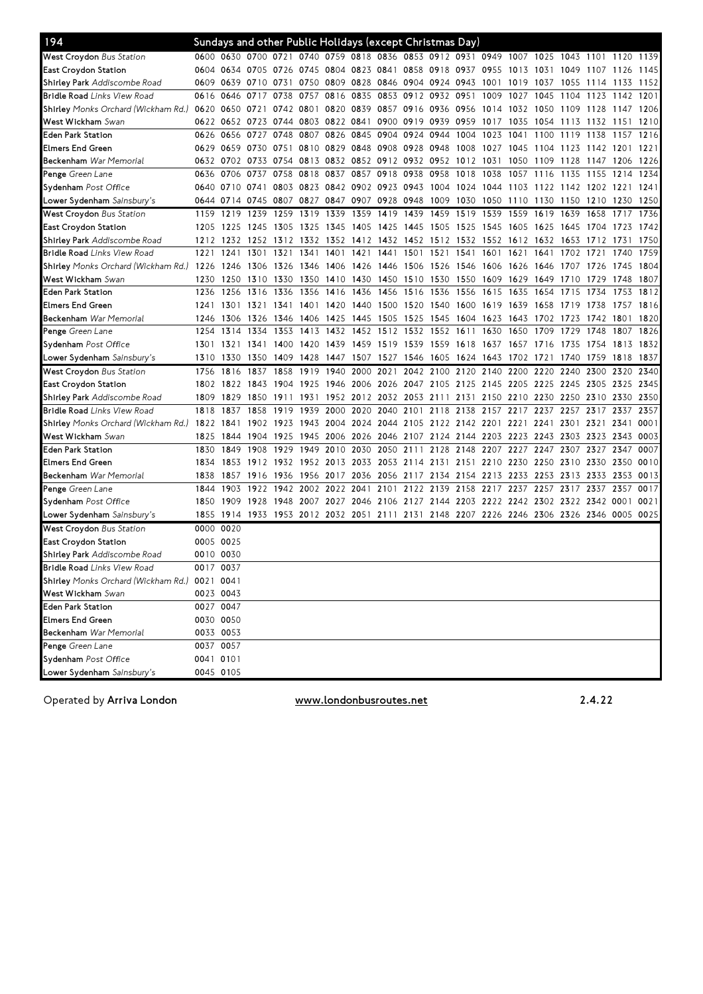| 194                                         |           |                | Sundays and other Public Holidays (except Christmas Day)                                  |           |                     |      |                                                        |           |                                    |                |           |                          |           |      |                                                                                 |      |           |      |
|---------------------------------------------|-----------|----------------|-------------------------------------------------------------------------------------------|-----------|---------------------|------|--------------------------------------------------------|-----------|------------------------------------|----------------|-----------|--------------------------|-----------|------|---------------------------------------------------------------------------------|------|-----------|------|
| <b>West Croydon</b> Bus Station             |           |                | 0600 0630 0700 0721 0740 0759 0818 0836 0853 0912 0931 0949 1007 1025 1043 1101 1120 1139 |           |                     |      |                                                        |           |                                    |                |           |                          |           |      |                                                                                 |      |           |      |
| East Croydon Station                        |           |                | 0604 0634 0705 0726 0745 0804 0823 0841 0858 0918 0937 0955 1013 1031 1049 1107 1126      |           |                     |      |                                                        |           |                                    |                |           |                          |           |      |                                                                                 |      |           | 1145 |
| Sh <b>irley Park</b> Addiscombe Road        |           |                | 0609 0639 0710 0731 0750 0809 0828 0846 0904 0924 0943 1001                               |           |                     |      |                                                        |           |                                    |                |           |                          | 1019 1037 |      | 1055 1114 1133 1152                                                             |      |           |      |
| <b>Bridle Road</b> Links View Road          |           | 0616 0646      | 0717 0738 0757 0816                                                                       |           |                     |      | 0835                                                   |           | 0853 0912 0932 0951                |                |           | 1009                     | 1027 1045 |      | 1104 1123                                                                       |      | 1142 1201 |      |
| S <b>hirley</b> Monks Orchard (Wickham Rd.) |           | 0620 0650 0721 |                                                                                           |           |                     |      | 0742 0801 0820 0839 0857 0916 0936 0956 1014 1032 1050 |           |                                    |                |           |                          |           |      | 1109 1128                                                                       |      | 1147 1206 |      |
| <b>West Wickham</b> Swan                    |           |                | 0622 0652 0723 0744 0803 0822 0841 0900 0919 0939 0959                                    |           |                     |      |                                                        |           |                                    |                |           | 1017                     | 1035      | 1054 | 1113 1132                                                                       |      | 1151      | 1210 |
| Eden Park Station                           |           | 0626 0656      | 0727                                                                                      | 0748      | 0807 0826           |      | 0845 0904 0924                                         |           |                                    | 0944           | 1004      | 1023                     | 1041      | 1100 | 1119                                                                            | 1138 | 1157      | 1216 |
| Elmers End Green                            |           |                | 0629 0659 0730 0751 0810 0829 0848 0908 0928 0948 1008 1027 1045 1104 1123 1142 1201      |           |                     |      |                                                        |           |                                    |                |           |                          |           |      |                                                                                 |      |           | 1221 |
| <b>Beckenham</b> War Memorial               |           |                | 0632 0702 0733 0754 0813 0832 0852 0912 0932 0952 1012 1031                               |           |                     |      |                                                        |           |                                    |                |           |                          | 1050      | 1109 | 1128 1147 1206                                                                  |      |           | 1226 |
| <b>Penge</b> Green Lane                     |           |                | 0636 0706 0737 0758 0818 0837 0857 0918 0938                                              |           |                     |      |                                                        |           |                                    | 0958 1018 1038 |           |                          |           |      | 1057 1116 1135 1155                                                             |      | 1214 1234 |      |
| Sydenham Post Office                        |           |                | 0640 0710 0741 0803 0823 0842 0902 0923 0943 1004 1024 1044 1103 1122 1142 1202 1221      |           |                     |      |                                                        |           |                                    |                |           |                          |           |      |                                                                                 |      |           | 1241 |
| Lower Sydenham <i>Sainsbury's</i>           |           |                | 0644 0714 0745 0807 0827 0847 0907 0928 0948                                              |           |                     |      |                                                        |           |                                    |                |           | 1009 1030 1050 1110 1130 |           |      | 1150 1210                                                                       |      | 1230      | 1250 |
| <b>West Croydon</b> Bus Station             | 1159      | 1219           | 1239                                                                                      | 1259      | 1319                | 1339 | 1359                                                   | 1419 1439 |                                    | 1459 1519 1539 |           |                          | 1559      | 1619 | 1639 1658                                                                       |      | 1717      | 1736 |
| East Croydon Station                        |           | 1205 1225      | 1245                                                                                      | 1305      | 1325                | 1345 | 1405 1425 1445                                         |           |                                    | 1505 1525 1545 |           |                          | 1605      | 1625 | 1645 1704                                                                       |      | 1723      | 1742 |
| Sh <b>irley Park</b> Addiscombe Road        |           | 1212 1232      | 1252 1312 1332 1352 1412 1432 1452 1512 1532 1552 1612 1632                               |           |                     |      |                                                        |           |                                    |                |           |                          |           |      | 1653 1712                                                                       |      | 1731      | 1750 |
| <b>Bridle Road</b> Links View Road          | 1221      | 1241           | 1301                                                                                      | 1321      | 1341                | 1401 | 1421                                                   | 1441 1501 |                                    | 1521           | 1541      | 1601                     | 1621      | 1641 | 1702 1721                                                                       |      | 1740      | 1759 |
| S <b>hirley</b> Monks Orchard (Wickham Rd.) | 1226 1246 |                | 1306 1326 1346 1406 1426 1446 1506 1526 1546 1606 1626 1646 1707 1726                     |           |                     |      |                                                        |           |                                    |                |           |                          |           |      |                                                                                 |      | 1745 1804 |      |
| <b>West Wickham</b> Swan                    |           |                | 1230 1250 1310 1330 1350 1410 1430 1450 1510                                              |           |                     |      |                                                        |           |                                    |                |           |                          |           |      | 1530 1550 1609 1629 1649 1710 1729                                              |      | 1748      | 1807 |
| Eden Park Station                           |           | 1236 1256      | 1316                                                                                      | 1336      | 1356                | 1416 | 1436 1456 1516                                         |           |                                    | 1536           | 1556 1615 |                          | 1635      | 1654 | 1715 1734                                                                       |      | 1753      | 1812 |
| Elmers End Green                            |           | 1241 1301      | 1321                                                                                      | 1341 1401 |                     |      | 1420 1440 1500 1520                                    |           |                                    | 1540 1600 1619 |           |                          | 1639      | 1658 | 1719                                                                            | 1738 | 1757      | 1816 |
| <b>Beckenham</b> War Memorial               |           | 1246 1306      | 1326                                                                                      |           | 1346 1406 1425      |      | 1445 1505 1525                                         |           |                                    | 1545 1604 1623 |           |                          | 1643      | 1702 | 1723                                                                            | 1742 | 1801      | 1820 |
| <b>Penge</b> Green Lane                     | 1254      | 1314           | 1334                                                                                      | 1353      | 1413                | 1432 | 1452                                                   | 1512 1532 |                                    | 1552           | 1611      | 1630                     | 1650      | 1709 | 1729                                                                            | 1748 | 1807      | 1826 |
| Sydenham Post Office                        |           |                | 1301 1321 1341 1400 1420 1439 1459 1519 1539 1559 1618 1637 1657 1716 1735 1754           |           |                     |      |                                                        |           |                                    |                |           |                          |           |      |                                                                                 |      | 1813 1832 |      |
| L <b>ower Sydenham</b> <i>Sainsbury's</i>   |           |                | 1310 1330 1350 1409 1428 1447 1507 1527 1546                                              |           |                     |      |                                                        |           |                                    |                |           |                          |           |      | 1605 1624 1643 1702 1721 1740 1759                                              |      | 1818 1837 |      |
| West Croydon Bus Station                    | 1756      | 1816           | 1837                                                                                      | 1858      | 1919 1940 2000      |      |                                                        |           | 2021 2042 2100 2120 2140 2200 2220 |                |           |                          |           |      | 2240 2300                                                                       |      | 2320      | 2340 |
| East Croydon Station                        |           | 1802 1822      | 1843                                                                                      |           | 1904 1925           | 1946 | 2006                                                   |           | 2026 2047 2105 2125 2145 2205 2225 |                |           |                          |           |      | 2245 2305                                                                       |      | 2325      | 2345 |
| Sh <b>irley Park</b> Addiscombe Road        | 1809      | 1829           | 1850                                                                                      | 1911      | 1931                |      |                                                        |           |                                    |                |           |                          |           |      | 1952 2012 2032 2053 2111 2131 2150 2210 2230 2250 2310 2330                     |      |           | 2350 |
| <b>Bridle Road</b> Links View Road          | 1818      | 1837           | 1858                                                                                      | 1919      | 1939 2000           |      | 2020                                                   |           | 2040 2101 2118 2138 2157 2217      |                |           |                          |           | 2237 | 2257 2317                                                                       |      | 2337      | 2357 |
| Shirley Monks Orchard (Wickham Rd.)         | 1822 1841 |                |                                                                                           |           | 1902 1923 1943 2004 |      | 2024                                                   |           | 2044 2105 2122 2142 2201 2221      |                |           |                          |           | 2241 | 2301 2321                                                                       |      | 2341      | 0001 |
| <b>West Wickham</b> Swan                    |           | 1825 1844      |                                                                                           |           |                     |      |                                                        |           |                                    |                |           |                          |           |      | 1904 1925 1945 2006 2026 2046 2107 2124 2144 2203 2223 2243 2303 2323 2343 0003 |      |           |      |
| Eden Park Station                           | 1830      | 1849           | 1908                                                                                      |           |                     |      | 1929 1949 2010 2030 2050 2111 2128 2148 2207 2227 2247 |           |                                    |                |           |                          |           |      | 2307 2327 2347                                                                  |      |           | 0007 |
| Elmers End Green                            | 1834      | 1853           | 1912 1932 1952 2013 2033 2053 2114 2131 2151 2210 2230 2250                               |           |                     |      |                                                        |           |                                    |                |           |                          |           |      | 2310 2330                                                                       |      | 2350      | 0010 |
| <b>Beckenham</b> War Memorial               | 1838      | 1857           | 1916                                                                                      | 1936      |                     |      | 1956 2017 2036 2056 2117 2134 2154 2213 2233 2253      |           |                                    |                |           |                          |           |      | 2313 2333                                                                       |      | 2353      | 0013 |
| <b>Penge</b> Green Lane                     | 1844      | 1903           | 1922 1942 2002 2022 2041 2101 2122 2139 2158 2217 2237 2257                               |           |                     |      |                                                        |           |                                    |                |           |                          |           |      | 2317 2337                                                                       |      | 2357      | 0017 |
| Sydenham Post Office                        |           | 1850 1909      | 1928 1948 2007 2027 2046 2106 2127 2144 2203 2222 2242 2302 2322 2342 0001                |           |                     |      |                                                        |           |                                    |                |           |                          |           |      |                                                                                 |      |           | 0021 |
| Lower Sydenham <i>Sainsbury's</i>           |           |                | 1855 1914 1933 1953 2012 2032 2051 2111 2131 2148 2207 2226 2246 2306 2326 2346 0005 0025 |           |                     |      |                                                        |           |                                    |                |           |                          |           |      |                                                                                 |      |           |      |
| West Croydon Bus Station                    | 0000 0020 |                |                                                                                           |           |                     |      |                                                        |           |                                    |                |           |                          |           |      |                                                                                 |      |           |      |
| East Croydon Station                        | 0005 0025 |                |                                                                                           |           |                     |      |                                                        |           |                                    |                |           |                          |           |      |                                                                                 |      |           |      |
| Sh <b>irley Park</b> Addiscombe Road        | 0010 0030 |                |                                                                                           |           |                     |      |                                                        |           |                                    |                |           |                          |           |      |                                                                                 |      |           |      |
| Bridle Road Links View Road                 | 0017 0037 |                |                                                                                           |           |                     |      |                                                        |           |                                    |                |           |                          |           |      |                                                                                 |      |           |      |
| S <b>hirley</b> Monks Orchard (Wickham Rd.) | 0021 0041 |                |                                                                                           |           |                     |      |                                                        |           |                                    |                |           |                          |           |      |                                                                                 |      |           |      |
| <b>West Wickham</b> Swan                    |           | 0023 0043      |                                                                                           |           |                     |      |                                                        |           |                                    |                |           |                          |           |      |                                                                                 |      |           |      |
| Eden Park Station                           | 0027 0047 |                |                                                                                           |           |                     |      |                                                        |           |                                    |                |           |                          |           |      |                                                                                 |      |           |      |
| Elmers End Green                            |           | 0030 0050      |                                                                                           |           |                     |      |                                                        |           |                                    |                |           |                          |           |      |                                                                                 |      |           |      |
| Beckenham War Memorial                      |           | 0033 0053      |                                                                                           |           |                     |      |                                                        |           |                                    |                |           |                          |           |      |                                                                                 |      |           |      |
| Penge Green Lane                            | 0037 0057 |                |                                                                                           |           |                     |      |                                                        |           |                                    |                |           |                          |           |      |                                                                                 |      |           |      |
| Sydenham Post Office                        | 0041 0101 |                |                                                                                           |           |                     |      |                                                        |           |                                    |                |           |                          |           |      |                                                                                 |      |           |      |
| L <b>ower Sydenham</b> Sainsbury's          |           | 0045 0105      |                                                                                           |           |                     |      |                                                        |           |                                    |                |           |                          |           |      |                                                                                 |      |           |      |
|                                             |           |                |                                                                                           |           |                     |      |                                                        |           |                                    |                |           |                          |           |      |                                                                                 |      |           |      |

Operated by Arriva London **Exercise 2.4.22** Www.londonbusroutes.net 2.4.22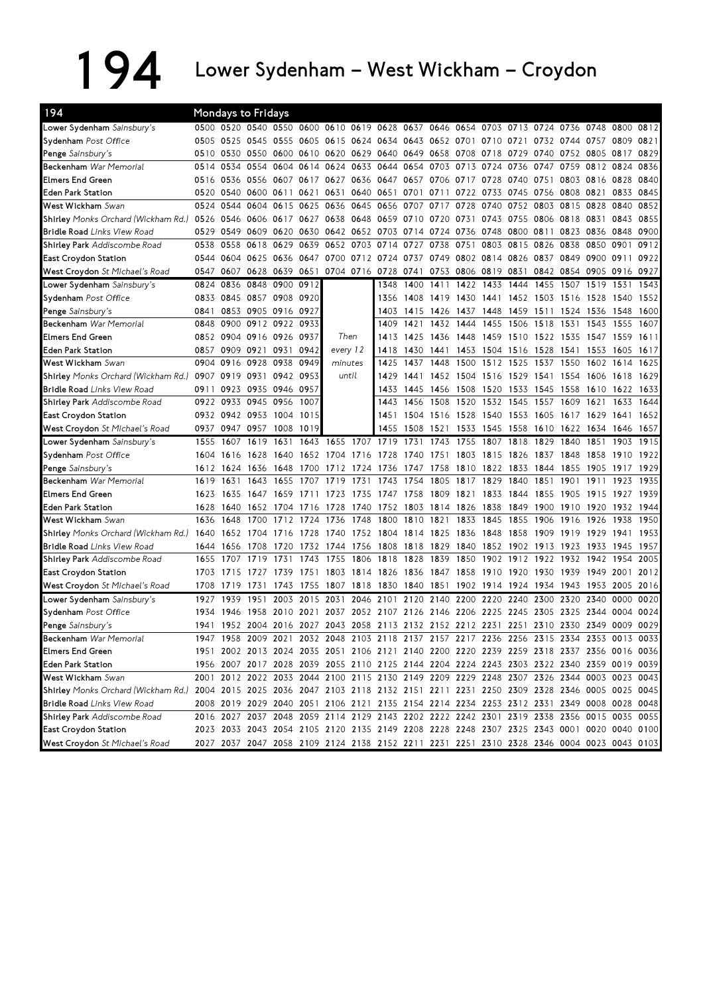## 194 Lower Sydenham – West Wickham – Croydon

| 194                                                                                                                           |           |                | Mondays to Fridays  |                          |      |                                                                                                                                                                                        |      |           |                                              |                |                |      |                               |                     |           |           |      |      |
|-------------------------------------------------------------------------------------------------------------------------------|-----------|----------------|---------------------|--------------------------|------|----------------------------------------------------------------------------------------------------------------------------------------------------------------------------------------|------|-----------|----------------------------------------------|----------------|----------------|------|-------------------------------|---------------------|-----------|-----------|------|------|
| Lower Sydenham Sainsbury's                                                                                                    |           |                |                     |                          |      | 0500 0520 0540 0550 0600 0610 0619 0628 0637 0646 0654 0703 0713 0724 0736 0748 0800 0812                                                                                              |      |           |                                              |                |                |      |                               |                     |           |           |      |      |
| Sydenham Post Office                                                                                                          |           |                |                     |                          |      | 0505 0525 0545 0555 0605 0615 0624 0634                                                                                                                                                |      |           | 0643 0652 0701 0710 0721 0732 0744 0757 0809 |                |                |      |                               |                     |           |           |      | 0821 |
| Penge Sainsbury's                                                                                                             |           | 0510 0530      |                     |                          |      | 0550 0600 0610 0620 0629 0640 0649 0658 0708 0718                                                                                                                                      |      |           |                                              |                |                |      | 0729                          | 0740 0752 0805 0817 |           |           |      | 0829 |
| Beckenham War Memorial                                                                                                        | 0514 0534 |                | 0554                |                          |      | 0604 0614 0624 0633 0644 0654 0703 0713 0724                                                                                                                                           |      |           |                                              |                |                |      | 0736                          | 0747                |           | 0759 0812 | 0824 | 0836 |
| Elmers End Green                                                                                                              | 0516      |                |                     |                          |      | 0536 0556 0607 0617 0627 0636 0647 0657 0706 0717                                                                                                                                      |      |           |                                              |                |                | 0728 | 0740 0751                     |                     | 0803      | 0816      | 0828 | 0840 |
| <b>Eden Park Station</b>                                                                                                      | 0520      | 0540           |                     | 0600 0611                | 0621 | 0631                                                                                                                                                                                   |      | 0640 0651 | 0701                                         | 0711 0722      |                | 0733 | 0745 0756 0808 0821           |                     |           |           | 0833 | 0845 |
| West Wickham Swan                                                                                                             | 0524      | 0544           | 0604 0615           |                          | 0625 | 0636                                                                                                                                                                                   |      | 0645 0656 | 0707                                         | 0717           | 0728           | 0740 | 0752 0803 0815                |                     |           | 0828      | 0840 | 0852 |
| Shirley Monks Orchard (Wickham Rd.)                                                                                           |           |                |                     |                          |      | 0526 0546 0606 0617 0627 0638 0648 0659 0710 0720 0731 0743 0755 0806 0818 0831                                                                                                        |      |           |                                              |                |                |      |                               |                     |           |           | 0843 | 0855 |
| <b>Bridle Road Links View Road</b>                                                                                            | 0529      |                | 0549 0609 0620      |                          | 0630 | 0642 0652 0703 0714 0724 0736 0748                                                                                                                                                     |      |           |                                              |                |                |      | 0800 0811 0823                |                     |           | 0836      | 0848 | 0900 |
| Shirley Park Addiscombe Road                                                                                                  | 0538      | 0558           | 0618 0629           |                          | 0639 | 0652 0703                                                                                                                                                                              |      | 0714      | 0727                                         | 0738           | 0751           | 0803 | 0815                          | 0826                | 0838      | 0850      | 0901 | 0912 |
| <b>East Croydon Station</b>                                                                                                   |           |                | 0544 0604 0625 0636 |                          | 0647 | 0700 0712 0724                                                                                                                                                                         |      |           | 0737                                         |                |                |      | 0749 0802 0814 0826 0837 0849 |                     |           | 0900 0911 |      | 0922 |
| West Croydon St Michael's Road                                                                                                | 0547      |                | 0607 0628 0639      |                          | 0651 | 0704 0716 0728                                                                                                                                                                         |      |           | 0741                                         |                | 0753 0806 0819 |      | 0831 0842 0854 0905           |                     |           |           | 0916 | 0927 |
| Lower Sydenham Sainsbury's                                                                                                    | 0824      | 0836           | 0848 0900           |                          | 0912 |                                                                                                                                                                                        |      | 1348      | 1400                                         | 1411           | 1422           | 1433 | 1444                          | 1455                | 1507      | 1519      | 1531 | 1543 |
| Sydenham Post Office                                                                                                          |           |                |                     | 0833 0845 0857 0908 0920 |      |                                                                                                                                                                                        |      | 1356      | 1408                                         |                |                |      | 1419 1430 1441 1452 1503 1516 |                     |           | 1528      | 1540 | 1552 |
| Penge Sainsbury's                                                                                                             | 0841      |                |                     | 0853 0905 0916 0927      |      |                                                                                                                                                                                        |      | 1403      | 1415 1426 1437 1448                          |                |                |      | 1459 1511 1524 1536           |                     |           |           | 1548 | 1600 |
| Beckenham War Memorial                                                                                                        | 0848      |                |                     | 0900 0912 0922           | 0933 |                                                                                                                                                                                        |      | 1409      | 1421                                         |                | 1432 1444      | 1455 | 1506 1518                     |                     | 1531      | 1543      | 1555 | 1607 |
| <b>Elmers End Green</b>                                                                                                       |           |                | 0852 0904 0916 0926 |                          | 0937 | Then                                                                                                                                                                                   |      | 1413      | 1425                                         | 1436 1448      |                | 1459 | 1510 1522 1535                |                     |           | 1547      | 1559 | 1611 |
| <b>Eden Park Station</b>                                                                                                      | 0857      |                | 0909 0921 0931      |                          | 0942 | every 12                                                                                                                                                                               |      | 1418      | 1430                                         | 1441           | 1453           |      | 1504 1516 1528 1541           |                     |           | 1553      | 1605 | 1617 |
| West Wickham Swan                                                                                                             | 0904      | 0916           | 0928 0938           |                          | 0949 | minutes                                                                                                                                                                                |      | 1425      | 1437                                         | 1448           | 1500           |      | 1512 1525 1537                |                     | 1550      | 1602      | 1614 | 1625 |
| <b>Shirley</b> Monks Orchard (Wickham Rd.)                                                                                    | 0907      |                | 0919 0931 0942      |                          | 0953 | until                                                                                                                                                                                  |      | 1429      | 1441                                         | 1452           | 1504           | 1516 | 1529 1541                     |                     | 1554      | 1606      | 1618 | 1629 |
| <b>Bridle Road Links View Road</b>                                                                                            |           |                | 0911 0923 0935 0946 |                          | 0957 |                                                                                                                                                                                        |      | 1433      | 1445                                         |                |                |      | 1456 1508 1520 1533 1545 1558 |                     |           | 1610 1622 |      | 1633 |
| Shirley Park Addiscombe Road                                                                                                  |           |                | 0922 0933 0945 0956 |                          | 1007 |                                                                                                                                                                                        |      | 1443      | 1456                                         | 1508 1520      |                |      | 1532 1545 1557                |                     | 1609      | 1621      | 1633 | 1644 |
| <b>East Croydon Station</b>                                                                                                   |           | 0932 0942 0953 |                     | 1004                     | 1015 |                                                                                                                                                                                        |      | 1451      | 1504                                         | 1516 1528      |                | 1540 | 1553 1605 1617 1629           |                     |           |           | 1641 | 1652 |
| West Croydon St Michael's Road                                                                                                | 0937      | 0947 0957      |                     | 1008                     | 1019 |                                                                                                                                                                                        |      | 1455      | 1508                                         | 1521           | 1533           | 1545 | 1558                          | 1610                | 1622 1634 |           | 1646 | 1657 |
|                                                                                                                               |           |                |                     |                          |      |                                                                                                                                                                                        |      |           |                                              |                |                |      |                               |                     |           |           |      |      |
| Lower Sydenham Sainsbury's                                                                                                    | 1555      | 1607           | 1619                | 1631                     | 1643 | 1655 1707 1719                                                                                                                                                                         |      |           | 1731                                         | 1743           | 1755           | 1807 | 1818                          | 1829                | 1840      | 1851      | 1903 | 1915 |
| Sydenham Post Office                                                                                                          | 1604      | 1616           | 1628                | 1640                     |      | 1652 1704 1716                                                                                                                                                                         |      | 1728      | 1740                                         | 1751           | 1803           | 1815 | 1826                          | 1837                | 1848      | 1858      | 1910 | 1922 |
| Penge Sainsbury's                                                                                                             | 1612      | 1624           | 1636                | 1648                     | 1700 | 1712                                                                                                                                                                                   | 1724 | 1736      | 1747                                         | 1758           | 1810           | 1822 | 1833                          | 1844                | 1855      | 1905      | 1917 | 1929 |
| Beckenham War Memorial                                                                                                        | 1619 1631 |                | 1643                | 1655                     | 1707 | 1719                                                                                                                                                                                   | 1731 | 1743      | 1754                                         | 1805 1817      |                | 1829 | 1840                          | 1851                | 1901      | 1911      | 1923 | 1935 |
| <b>Elmers End Green</b>                                                                                                       | 1623      | 1635 1647      |                     | 1659                     | 1711 | 1723                                                                                                                                                                                   | 1735 |           | 1747 1758 1809 1821                          |                |                | 1833 | 1844 1855                     |                     | 1905      | 1915      | 1927 | 1939 |
| <b>Eden Park Station</b>                                                                                                      | 1628      | 1640           | 1652                | 1704                     | 1716 | 1728                                                                                                                                                                                   | 1740 | 1752      | 1803                                         | 1814 1826      |                | 1838 | 1849                          | 1900 1910           |           | 1920      | 1932 | 1944 |
| West Wickham Swan                                                                                                             | 1636      | 1648           | 1700                | 1712                     | 1724 | 1736                                                                                                                                                                                   | 1748 | 1800      | 1810                                         | 1821           | 1833           | 1845 | 1855                          | 1906                | 1916      | 1926      | 1938 | 1950 |
| Shirley Monks Orchard (Wickham Rd.) 1640                                                                                      |           | 1652           | 1704                | 1716                     | 1728 | 1740 1752 1804                                                                                                                                                                         |      |           | 1814                                         | 1825 1836 1848 |                |      | 1858                          | 1909                | 1919      | 1929      | 1941 | 1953 |
| <b>Bridle Road</b> Links View Road                                                                                            | 1644      | 1656           | 1708                | 1720                     | 1732 | 1744 1756                                                                                                                                                                              |      | 1808      | 1818                                         | 1829           | 1840           | 1852 | 1902                          | 1913                | 1923      | 1933      | 1945 | 1957 |
| Shirley Park Addiscombe Road                                                                                                  | 1655      | 1707           | 1719                | 1731                     | 1743 | 1755                                                                                                                                                                                   | 1806 | 1818      | 1828                                         | 1839           | 1850           | 1902 | 1912                          | 1922                | 1932      | 1942      | 1954 | 2005 |
| <b>East Croydon Station</b>                                                                                                   | 1703      | 1715           | 1727 1739           |                          | 1751 | 1803 1814 1826                                                                                                                                                                         |      |           | 1836 1847 1858 1910 1920 1930 1939           |                |                |      |                               |                     |           | 1949 2001 |      | 2012 |
| West Croydon St Michael's Road                                                                                                | 1708      | 1719           | 1731                | 1743                     | 1755 | 1807 1818                                                                                                                                                                              |      | 1830      | 1840                                         |                |                |      | 1851 1902 1914 1924 1934 1943 |                     |           | 1953      | 2005 | 2016 |
| Lower Sydenham Sainsbury's                                                                                                    | 1927      | 1939           | 1951                | 2003                     | 2015 | 2031                                                                                                                                                                                   | 2046 | 2101      | 2120                                         | 2140           | 2200           | 2220 | 2240                          | 2300                | 2320      | 2340      | 0000 | 0020 |
| Sydenham Post Office                                                                                                          | 1934      | 1946           | 1958                | 2010                     | 2021 | 2037                                                                                                                                                                                   |      |           | 2052 2107 2126 2146 2206                     |                |                | 2225 | 2245                          | 2305 2325           |           | 2344      | 0004 | 0024 |
| Penge Sainsbury's                                                                                                             |           |                | 1941 1952 2004 2016 |                          |      | 2027 2043 2058 2113 2132 2152 2212 2231 2251 2310 2330 2349 0009                                                                                                                       |      |           |                                              |                |                |      |                               |                     |           |           |      | 0029 |
| Beckenham War Memorial                                                                                                        |           |                |                     |                          |      | 1947 1958 2009 2021 2032 2048 2103 2118 2137 2157 2217 2236 2256 2315 2334 2353 0013 0033                                                                                              |      |           |                                              |                |                |      |                               |                     |           |           |      |      |
| <b>Elmers End Green</b>                                                                                                       |           |                |                     |                          |      | 1951 2002 2013 2024 2035 2051 2106 2121 2140 2200 2220 2239 2259 2318 2337 2356 0016 0036                                                                                              |      |           |                                              |                |                |      |                               |                     |           |           |      |      |
| <b>Eden Park Station</b>                                                                                                      |           |                |                     |                          |      | 1956 2007 2017 2028 2039 2055 2110 2125 2144 2204 2224 2243 2303 2322 2340 2359 0019 0039                                                                                              |      |           |                                              |                |                |      |                               |                     |           |           |      |      |
| West Wickham Swan                                                                                                             |           |                |                     |                          |      | 2001 2012 2022 2033 2044 2100 2115 2130 2149 2209 2229 2248 2307 2326 2344 0003 0023 0043                                                                                              |      |           |                                              |                |                |      |                               |                     |           |           |      |      |
| Shirley Monks Orchard (Wickham Rd.) 2004 2015 2025 2036 2047 2103 2118 2132 2151 2211 2231 2250 2309 2328 2346 0005 0025 0045 |           |                |                     |                          |      |                                                                                                                                                                                        |      |           |                                              |                |                |      |                               |                     |           |           |      |      |
| <b>Bridle Road</b> Links View Road                                                                                            |           |                |                     |                          |      | 2008 2019 2029 2040 2051 2106 2121 2135 2154 2214 2234 2253 2312 2331 2349 0008 0028 0048                                                                                              |      |           |                                              |                |                |      |                               |                     |           |           |      |      |
| Shirley Park Addiscombe Road                                                                                                  |           |                |                     |                          |      | 2016 2027 2037 2048 2059 2114 2129 2143 2202 2222 2242 2301 2319 2338 2356 0015 0035 0055                                                                                              |      |           |                                              |                |                |      |                               |                     |           |           |      |      |
| East Croydon Station<br>West Croydon St Michael's Road                                                                        |           |                |                     |                          |      | 2023 2033 2043 2054 2105 2120 2135 2149 2208 2228 2248 2307 2325 2343 0001 0020 0040 0100<br>2027 2037 2047 2058 2109 2124 2138 2152 2211 2231 2251 2310 2328 2346 0004 0023 0043 0103 |      |           |                                              |                |                |      |                               |                     |           |           |      |      |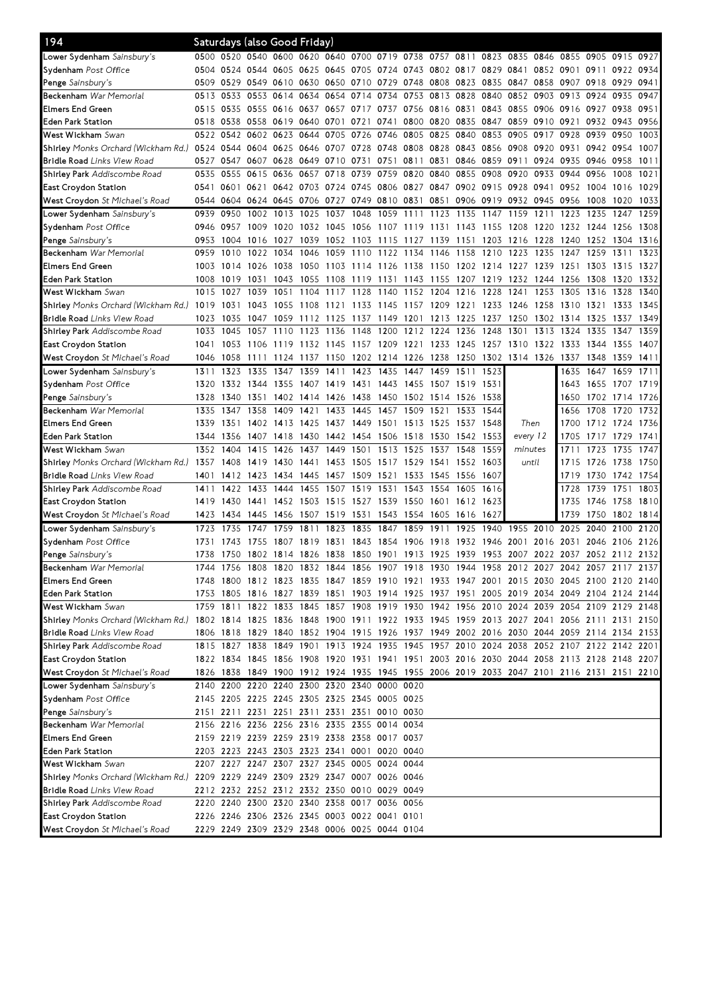| 194                                                                                                                           |           |           | Saturdays (also Good Friday)  |                     |                |           |                                                                       |           |                     |           |                             |           |                             |           |                                                                                           |                   |           |      |
|-------------------------------------------------------------------------------------------------------------------------------|-----------|-----------|-------------------------------|---------------------|----------------|-----------|-----------------------------------------------------------------------|-----------|---------------------|-----------|-----------------------------|-----------|-----------------------------|-----------|-------------------------------------------------------------------------------------------|-------------------|-----------|------|
| <b>_ower Sydenham</b> <i>Sainsbury's</i>                                                                                      |           |           |                               |                     |                |           | 0500 0520 0540 0600 0620 0640 0700 0719 0738 0757 0811 0823 0835 0846 |           |                     |           |                             |           |                             |           | 0855 0905 0915 0927                                                                       |                   |           |      |
| S <b>ydenham</b> Post Office                                                                                                  |           |           |                               |                     |                |           |                                                                       |           |                     |           |                             |           |                             |           | 0504 0524 0544 0605 0625 0645 0705 0724 0743 0802 0817 0829 0841 0852 0901 0911 0922 0934 |                   |           |      |
| P <b>enge</b> Sainsbury's                                                                                                     | 0509 0529 |           | 0549                          | 0610 0630 0650      |                |           | 0710                                                                  | 0729 0748 |                     |           | 0808 0823                   | 0835      | 0847                        | 0858      | 0907                                                                                      | 0918              | 0929      | 0941 |
| <b>Beckenham</b> War Memorial                                                                                                 | 0513 0533 |           |                               | 0553 0614           | 0634 0654      |           | 0714                                                                  | 0734 0753 |                     | 0813 0828 |                             | 0840      | 0852                        | 0903      | 0913 0924                                                                                 |                   | 0935      | 0947 |
| Elmers End Green                                                                                                              | 0515 0535 |           |                               |                     |                |           | 0555 0616 0637 0657 0717 0737 0756                                    |           |                     |           | 0816 0831 0843              |           |                             |           | 0855 0906 0916 0927 0938                                                                  |                   |           | 0951 |
| Eden Park Station                                                                                                             | 0518 0538 |           |                               | 0558 0619 0640 0701 |                |           | 0721                                                                  | 0741 0800 |                     |           | 0820 0835 0847              |           | 0859                        | 0910 0921 |                                                                                           | 0932              | 0943      | 0956 |
| <b>West Wickham</b> Swan                                                                                                      | 0522 0542 |           | 0602                          | 0623                | 0644 0705      |           | 0726                                                                  | 0746      | 0805                | 0825      | 0840                        | 0853      | 0905                        | 0917      | 0928                                                                                      | 0939              | 0950      | 1003 |
| Shirley Monks Orchard (Wickham Rd.) 0524 0544                                                                                 |           |           |                               | 0604 0625 0646 0707 |                |           | 0728 0748 0808                                                        |           |                     |           | 0828 0843 0856              |           | 0908                        | 0920      | 0931 0942                                                                                 |                   | 0954      | 1007 |
| <b>Bridle Road</b> Links View Road                                                                                            | 0527      | 0547      | 0607 0628                     |                     | 0649 0710      |           | 0731                                                                  | 0751 0811 |                     | 0831      |                             | 0846 0859 | 0911                        | 0924      | 0935 0946                                                                                 |                   | 0958      | 1011 |
| Shirley Park Addiscombe Road                                                                                                  | 0535      | 0555      | 0615                          | 0636                | 0657           | 0718      | 0739                                                                  | 0759 0820 |                     | 0840      | 0855                        | 0908      | 0920                        | 0933      | 0944 0956                                                                                 |                   | 1008      | 1021 |
| East Croydon Station                                                                                                          |           |           |                               |                     |                |           | 0541 0601 0621 0642 0703 0724 0745 0806 0827                          |           |                     |           | 0847 0902 0915              |           | 0928 0941                   |           | 0952 1004                                                                                 |                   | 1016      | 1029 |
| <b>West Croydon</b> St Michael's Road                                                                                         |           |           |                               |                     |                |           | 0544 0604 0624 0645 0706 0727 0749 0810 0831                          |           |                     | 0851      |                             |           |                             |           | 0906 0919 0932 0945 0956 1008                                                             |                   | 1020      | 1033 |
| <b>Lower Sydenham</b> Sainsbury's                                                                                             | 0939      | 0950      |                               | 1002 1013 1025      |                | 1037      | 1048                                                                  | 1059 1111 |                     | 1123      | 1135                        | 1147      | 1159                        | 1211      | 1223                                                                                      | 1235              | 1247      | 1259 |
| Sydenham Post Office                                                                                                          | 0946 0957 |           | 1009                          |                     | 1020 1032 1045 |           | 1056 1107 1119                                                        |           |                     | 1131      | 1143 1155                   |           | 1208                        | 1220      | 1232 1244                                                                                 |                   | 1256      | 1308 |
| <b>Penge</b> Sainsbury's                                                                                                      | 0953      | 1004      | 1016                          | 1027                | 1039           | 1052      | 1103                                                                  | 1115 1127 |                     | 1139      | 1151                        | 1203      | 1216                        | 1228      | 1240 1252                                                                                 |                   | 1304      | 1316 |
| <b>Beckenham</b> War Memorial                                                                                                 | 0959      | 1010      | 1022                          | 1034                | 1046           | 1059      | 1110                                                                  | 1122      | 1134                | 1146      | 1158                        | 1210      | 1223                        | 1235      | 1247                                                                                      | 1259              | 1311      | 1323 |
| Elmers End Green                                                                                                              |           | 1003 1014 | 1026 1038                     |                     | 1050           |           | 1103 1114 1126 1138 1150 1202 1214 1227 1239                          |           |                     |           |                             |           |                             |           | 1251 1303                                                                                 |                   | 1315      | 1327 |
| Eden Park Station                                                                                                             | 1008      | 1019      | 1031                          | 1043                | 1055           | 1108      | 1119                                                                  | 1131      | 1143                | 1155      | 1207                        | 1219      | 1232                        | 1244      | 1256                                                                                      | 1308              | 1320      | 1332 |
| West Wickham Swan                                                                                                             | 1015 1027 |           | 1039                          | 1051                | 1104           | 1117      | 1128                                                                  | 1140      | 1152                | 1204 1216 |                             | 1228      | 1241                        | 1253      | 1305                                                                                      | 1316              | 1328      | 1340 |
| S <b>hirlev</b> Monks Orchard (Wickham Rd.)                                                                                   | 1019      | 1031      | 1043                          | 1055                | 1108 1121      |           | 1133 1145 1157 1209 1221 1233 1246 1258                               |           |                     |           |                             |           |                             |           | 1310 1321                                                                                 |                   | 1333      | 1345 |
| <b>Bridle Road</b> Links View Road                                                                                            | 1023      | 1035      | 1047                          | 1059                | 1112 1125      |           | 1137                                                                  | 1149 1201 |                     | 1213      | 1225                        | 1237      | 1250                        | 1302      | 1314                                                                                      | 1325              | 1337      | 1349 |
| Shirley Park Addiscombe Road                                                                                                  | 1033      | 1045      | 1057                          | 1110 1123           |                | 1136      | 1148                                                                  |           | 1200 1212 1224 1236 |           |                             | 1248      | 1301                        | 1313      | 1324                                                                                      | 1335              | 1347      | 1359 |
| East Croydon Station                                                                                                          | 1041      | 1053      | 1106                          | 1119 1132 1145      |                |           | 1157 1209 1221                                                        |           |                     |           | 1233 1245 1257              |           | 1310                        | 1322      | 1333 1344                                                                                 |                   | 1355      | 1407 |
| <b>West Croydon</b> St Michael's Road                                                                                         | 1046 1058 |           | 1111                          |                     | 1124 1137 1150 |           | 1202                                                                  | 1214 1226 |                     | 1238      | 1250                        |           | 1302 1314 1326              |           | 1337                                                                                      | 1348              | 1359      | 1411 |
| Lower Sydenham Sainsbury's                                                                                                    | 1311      | 1323      | 1335                          | 1347                | 1359           | 1411      | 1423                                                                  | 1435      | 1447                | 1459      | 1511                        | 1523      |                             |           | 1635                                                                                      | 1647              | 1659      | 1711 |
| S <b>ydenham</b> Post Office                                                                                                  | 1320      |           |                               |                     |                |           | 1332 1344 1355 1407 1419 1431 1443 1455 1507 1519 1531                |           |                     |           |                             |           |                             |           | 1643                                                                                      | 1655 1707 1719    |           |      |
| <b>Penge</b> Sainsbury's                                                                                                      | 1328      | 1340      | 1351                          |                     | 1402 1414 1426 |           | 1438                                                                  |           |                     |           | 1450 1502 1514 1526 1538    |           |                             |           | 1650                                                                                      | 1702 1714         |           | 1726 |
| <b>Beckenham</b> War Memorial                                                                                                 | 1335      | 1347      | 1358                          | 1409                | 1421           | 1433      | 1445                                                                  | 1457      | 1509                | 1521      | 1533                        | 1544      |                             |           | 1656                                                                                      | 1708              | 1720      | 1732 |
| Elmers End Green                                                                                                              | 1339      | 1351      |                               | 1402 1413 1425      |                | 1437 1449 |                                                                       | 1501 1513 |                     | 1525 1537 |                             |           | Then<br>every 12<br>minutes |           | 1700                                                                                      |                   |           | 1736 |
| Eden Park Station                                                                                                             | 1344      | 1356      | 1407                          | 1418                |                |           | 1442 1454 1506 1518                                                   |           |                     | 1530      | 1542 1553                   | 1548      |                             |           | 1705                                                                                      | 1712 1724<br>1717 | 1729      | 1741 |
| <b>West Wickham</b> Swan                                                                                                      | 1352      | 1404      | 1415                          | 1426                | 1430           | 1449      | 1501                                                                  | 1513      | 1525                | 1537      | 1548                        | 1559      |                             |           | 1711                                                                                      | 1723              | 1735      | 1747 |
| S <b>hirley</b> Monks Orchard (Wickham Rd.)                                                                                   | 1357      | 1408      | 1419 1430                     |                     | 1437<br>1441   |           | 1453 1505 1517 1529                                                   |           |                     | 1541      | 1552 1603                   |           | until                       |           | 1715                                                                                      | 1726              | 1738      | 1750 |
|                                                                                                                               |           |           |                               |                     |                |           |                                                                       |           |                     |           |                             |           |                             |           |                                                                                           |                   |           |      |
| <b>Bridle Road</b> Links View Road                                                                                            | 1401      | 1412      | 1423                          | 1434 1445 1457      |                |           | 1509                                                                  | 1521 1533 | 1543                | 1554      | 1545 1556 1607<br>1605 1616 |           |                             |           |                                                                                           | 1719 1730<br>1739 | 1742 1754 | 1803 |
| Shirley Park Addiscombe Road                                                                                                  | 1411      | 1422      | 1433                          | 1444                | 1455           | 1507      | 1519                                                                  | 1531      |                     |           |                             |           |                             |           | 1728                                                                                      |                   | 1751      |      |
| East Croydon Station                                                                                                          | 1419      | 1430      |                               | 1441 1452 1503      |                | 1515      | 1527 1539 1550                                                        |           |                     | 1601      | 1612 1623                   |           |                             |           | 1735                                                                                      | 1746              | 1758      | 1810 |
| <b>West Croydon</b> St Michael's Road                                                                                         | 1423      | 1434      | 1445                          | 1456                | 1507           | 1519      | 1531                                                                  | 1543      | 1554                | 1605      | 1616                        | 1627      |                             |           | 1739                                                                                      | 1750              | 1802 1814 |      |
| L <b>ower Sydenham</b> Sainsbury's                                                                                            | 1723      | 1735      | 1747                          | 1759                | 1811           | 1823      | 1835                                                                  | 1847      | 1859                | 1911      | 1925                        | 1940      | 1955                        | 2010      | 2025                                                                                      | 2040              | 2100      | 2120 |
| Sydenham Post Office                                                                                                          | 1731      | 1743      | 1755                          | 1807                | 1819           | 1831      | 1843                                                                  | 1854      | 1906                | 1918      | 1932                        | 1946      | 2001                        | 2016      | 2031                                                                                      | 2046              | 2106      | 2126 |
| Penge Sainsbury's                                                                                                             |           |           | 1738 1750 1802 1814 1826 1838 |                     |                |           |                                                                       |           |                     |           |                             |           |                             |           | 1850 1901 1913 1925 1939 1953 2007 2022 2037 2052 2112 2132                               |                   |           |      |
| Beckenham <i>War Memorial</i>                                                                                                 |           |           |                               |                     |                |           |                                                                       |           |                     |           |                             |           |                             |           | 1744 1756 1808 1820 1832 1844 1856 1907 1918 1930 1944 1958 2012 2027 2042 2057 2117 2137 |                   |           |      |
| Elmers End Green                                                                                                              |           |           |                               |                     |                |           |                                                                       |           |                     |           |                             |           |                             |           | 1748 1800 1812 1823 1835 1847 1859 1910 1921 1933 1947 2001 2015 2030 2045 2100 2120 2140 |                   |           |      |
| Eden Park Station                                                                                                             |           |           |                               |                     |                |           |                                                                       |           |                     |           |                             |           |                             |           | 1753 1805 1816 1827 1839 1851 1903 1914 1925 1937 1951 2005 2019 2034 2049 2104 2124 2144 |                   |           |      |
| <b>West Wickham</b> Swan                                                                                                      |           |           |                               |                     |                |           |                                                                       |           |                     |           |                             |           |                             |           | 1759 1811 1822 1833 1845 1857 1908 1919 1930 1942 1956 2010 2024 2039 2054 2109 2129 2148 |                   |           |      |
| Shirley Monks Orchard (Wickham Rd.) 1802 1814 1825 1836 1848 1900 1911 1922 1933 1945 1959 2013 2027 2041 2056 2111 2131 2150 |           |           |                               |                     |                |           |                                                                       |           |                     |           |                             |           |                             |           |                                                                                           |                   |           |      |
| <b>Bridle Road</b> Links View Road                                                                                            |           |           |                               |                     |                |           |                                                                       |           |                     |           |                             |           |                             |           | 1806 1818 1829 1840 1852 1904 1915 1926 1937 1949 2002 2016 2030 2044 2059 2114 2134 2133 |                   |           |      |
| Shirley Park Addiscombe Road                                                                                                  |           |           |                               |                     |                |           |                                                                       |           |                     |           |                             |           |                             |           | 1815 1827 1838 1849 1901 1913 1924 1935 1945 1957 2010 2024 2038 2052 2107 2122 2142 2201 |                   |           |      |
| East Croydon Station                                                                                                          |           |           |                               |                     |                |           |                                                                       |           |                     |           |                             |           |                             |           | 1822 1834 1845 1856 1908 1920 1931 1941 1951 2003 2016 2030 2044 2058 2113 2128 2148 2207 |                   |           |      |
| <b>West Croydon</b> St Michael's Road                                                                                         |           |           |                               |                     |                |           |                                                                       |           |                     |           |                             |           |                             |           | 1826 1838 1849 1900 1912 1924 1935 1945 1955 2006 2019 2033 2047 2101 2116 2131 2151 2210 |                   |           |      |
| Lower Sydenham Sainsbury's                                                                                                    |           |           |                               |                     |                |           | 2140 2200 2220 2240 2300 2320 2340 0000 0020                          |           |                     |           |                             |           |                             |           |                                                                                           |                   |           |      |
| Sydenham Post Office                                                                                                          |           |           |                               |                     |                |           | 2145 2205 2225 2245 2305 2325 2345 0005 0025                          |           |                     |           |                             |           |                             |           |                                                                                           |                   |           |      |
| <b>Penge</b> Sainsbury's                                                                                                      |           |           |                               |                     |                |           | 2151 2211 2231 2251 2311 2331 2351 0010 0030                          |           |                     |           |                             |           |                             |           |                                                                                           |                   |           |      |
| Beckenham <i>War Memorial</i>                                                                                                 |           |           |                               |                     |                |           | 2156 2216 2236 2256 2316 2335 2355 0014 0034                          |           |                     |           |                             |           |                             |           |                                                                                           |                   |           |      |
| Elmers End Green                                                                                                              |           |           |                               |                     |                |           | 2159 2219 2239 2259 2319 2338 2358 0017 0037                          |           |                     |           |                             |           |                             |           |                                                                                           |                   |           |      |
| Eden Park Station                                                                                                             |           |           |                               |                     |                |           | 2203 2223 2243 2303 2323 2341 0001 0020 0040                          |           |                     |           |                             |           |                             |           |                                                                                           |                   |           |      |
| <b>West Wickham</b> Swan                                                                                                      |           |           |                               |                     |                |           | 2207 2227 2247 2307 2327 2345 0005 0024 0044                          |           |                     |           |                             |           |                             |           |                                                                                           |                   |           |      |
| Shirley Monks Orchard (Wickham Rd.) 2209 2229 2249 2309 2329 2347 0007 0026 0046                                              |           |           |                               |                     |                |           |                                                                       |           |                     |           |                             |           |                             |           |                                                                                           |                   |           |      |
| <b>Bridle Road</b> Links View Road                                                                                            |           |           |                               |                     |                |           | 2212 2232 2252 2312 2332 2350 0010 0029 0049                          |           |                     |           |                             |           |                             |           |                                                                                           |                   |           |      |
| Sh <b>irley Park</b> Addiscombe Road                                                                                          |           |           |                               |                     |                |           | 2220 2240 2300 2320 2340 2358 0017 0036 0056                          |           |                     |           |                             |           |                             |           |                                                                                           |                   |           |      |
| East Croydon Station                                                                                                          |           |           |                               |                     |                |           | 2226 2246 2306 2326 2345 0003 0022 0041 0101                          |           |                     |           |                             |           |                             |           |                                                                                           |                   |           |      |
| <b>West Croydon</b> St Michael's Road                                                                                         |           |           |                               |                     |                |           | 2229 2249 2309 2329 2348 0006 0025 0044 0104                          |           |                     |           |                             |           |                             |           |                                                                                           |                   |           |      |